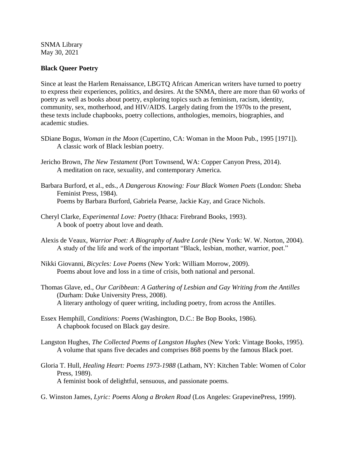SNMA Library May 30, 2021

## **Black Queer Poetry**

Since at least the Harlem Renaissance, LBGTQ African American writers have turned to poetry to express their experiences, politics, and desires. At the SNMA, there are more than 60 works of poetry as well as books about poetry, exploring topics such as feminism, racism, identity, community, sex, motherhood, and HIV/AIDS. Largely dating from the 1970s to the present, these texts include chapbooks, poetry collections, anthologies, memoirs, biographies, and academic studies.

- SDiane Bogus, *Woman in the Moon* (Cupertino, CA: Woman in the Moon Pub., 1995 [1971]). A classic work of Black lesbian poetry.
- Jericho Brown, *The New Testament* (Port Townsend, WA: Copper Canyon Press, 2014). A meditation on race, sexuality, and contemporary America.
- Barbara Burford, et al., eds., *A Dangerous Knowing: Four Black Women Poets* (London: Sheba Feminist Press, 1984). Poems by Barbara Burford, Gabriela Pearse, Jackie Kay, and Grace Nichols.
- Cheryl Clarke, *Experimental Love: Poetry* (Ithaca: Firebrand Books, 1993). A book of poetry about love and death.
- Alexis de Veaux, *Warrior Poet: A Biography of Audre Lorde* (New York: W. W. Norton, 2004). A study of the life and work of the important "Black, lesbian, mother, warrior, poet."
- Nikki Giovanni, *Bicycles: Love Poems* (New York: William Morrow, 2009). Poems about love and loss in a time of crisis, both national and personal.
- Thomas Glave, ed., *Our Caribbean: A Gathering of Lesbian and Gay Writing from the Antilles*  (Durham: Duke University Press, 2008). A literary anthology of queer writing, including poetry, from across the Antilles.
- Essex Hemphill, *Conditions: Poems* (Washington, D.C.: Be Bop Books, 1986). A chapbook focused on Black gay desire.
- Langston Hughes, *The Collected Poems of Langston Hughes* (New York: Vintage Books, 1995). A volume that spans five decades and comprises 868 poems by the famous Black poet.
- Gloria T. Hull, *Healing Heart: Poems 1973-1988* (Latham, NY: Kitchen Table: Women of Color Press, 1989). A feminist book of delightful, sensuous, and passionate poems.
- G. Winston James, *Lyric: Poems Along a Broken Road* (Los Angeles: GrapevinePress, 1999).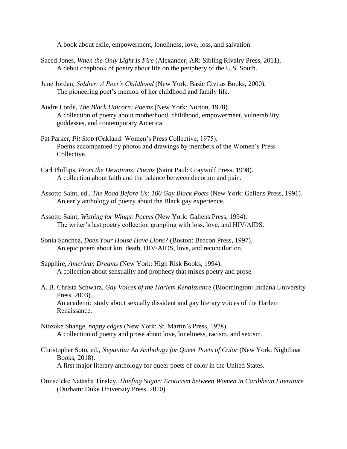A book about exile, empowerment, loneliness, love, loss, and salvation.

- Saeed Jones, *When the Only Light Is Fire* (Alexander, AR: Sibling Rivalry Press, 2011). A debut chapbook of poetry about life on the periphery of the U.S. South.
- June Jordan, *Soldier: A Poet's Childhood* (New York: Basic Civitas Books, 2000). The pioneering poet's memoir of her childhood and family life.
- Audre Lorde, *The Black Unicorn: Poems* (New York: Norton, 1978). A collection of poetry about motherhood, childhood, empowerment, vulnerability, goddesses, and contemporary America.
- Pat Parker, *Pit Stop* (Oakland: Women's Press Collective, 1975). Poems accompanied by photos and drawings by members of the Women's Press Collective.
- Carl Phillips, *From the Devotions: Poems* (Saint Paul: Graywolf Press, 1998). A collection about faith and the balance between decorum and pain.
- Assotto Saint, ed., *The Road Before Us: 100 Gay Black Poets* (New York: Galiens Press, 1991). An early anthology of poetry about the Black gay experience.
- Assotto Saint, *Wishing for Wings: Poems* (New York: Galiens Press, 1994). The writer's last poetry collection grappling with loss, love, and HIV/AIDS.
- Sonia Sanchez, *Does Your House Have Lions?* (Boston: Beacon Press, 1997). An epic poem about kin, death, HIV/AIDS, love, and reconciliation.
- Sapphire, *American Dreams* (New York: High Risk Books, 1994). A collection about sensuality and prophecy that mixes poetry and prose.
- A. B. Christa Schwarz, *Gay Voices of the Harlem Renaissance* (Bloomington: Indiana University Press, 2003). An academic study about sexually dissident and gay literary voices of the Harlem Renaissance.
- Ntozake Shange, *nappy edges* (New York: St. Martin's Press, 1978). A collection of poetry and prose about love, loneliness, racism, and sexism.
- Christopher Soto, ed., *Nepantla: An Anthology for Queer Poets of Color* (New York: Nightboat Books, 2018). A first major literary anthology for queer poets of color in the United States.
- Omise'eke Natasha Tinsley, *Thiefing Sugar: Eroticism between Women in Caribbean Literature*  (Durham: Duke University Press, 2010).